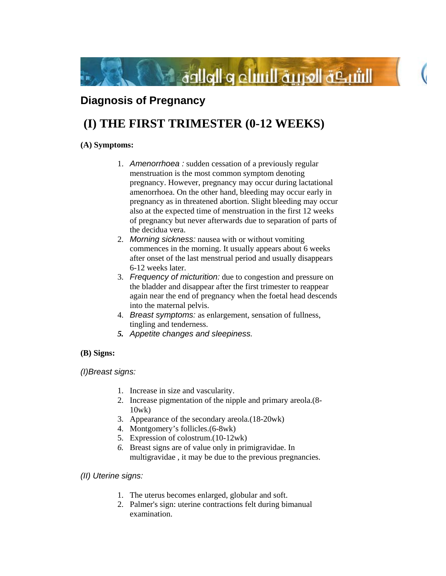

## **Diagnosis of Pregnancy**

# **(I) THE FIRST TRIMESTER (0-12 WEEKS)**

## **(A) Symptoms:**

- 1. *Amenorrhoea :* sudden cessation of a previously regular menstruation is the most common symptom denoting pregnancy. However, pregnancy may occur during lactational amenorrhoea. On the other hand, bleeding may occur early in pregnancy as in threatened abortion. Slight bleeding may occur also at the expected time of menstruation in the first 12 weeks of pregnancy but never afterwards due to separation of parts of the decidua vera.
- 2. *Morning sickness:* nausea with or without vomiting commences in the morning. It usually appears about 6 weeks after onset of the last menstrual period and usually disappears 6-12 weeks later.
- 3. *Frequency of micturition:* due to congestion and pressure on the bladder and disappear after the first trimester to reappear again near the end of pregnancy when the foetal head descends into the maternal pelvis.
- 4. *Breast symptoms:* as enlargement, sensation of fullness, tingling and tenderness.
- *5. Appetite changes and sleepiness.*

## **(B) Signs:**

*(I)Breast signs:*

- 1. Increase in size and vascularity.
- 2. Increase pigmentation of the nipple and primary areola.(8- 10wk)
- 3. Appearance of the secondary areola.(18-20wk)
- 4. Montgomery's follicles.(6-8wk)
- 5. Expression of colostrum.(10-12wk)
- *6.* Breast signs are of value only in primigravidae. In multigravidae , it may be due to the previous pregnancies.

## *(II) Uterine signs:*

- 1. The uterus becomes enlarged, globular and soft.
- 2. Palmer's sign: uterine contractions felt during bimanual examination.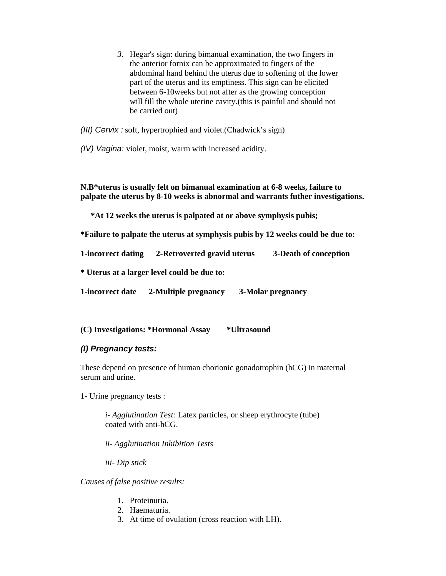*3.* Hegar's sign: during bimanual examination, the two fingers in the anterior fornix can be approximated to fingers of the abdominal hand behind the uterus due to softening of the lower part of the uterus and its emptiness. This sign can be elicited between 6-10weeks but not after as the growing conception will fill the whole uterine cavity.(this is painful and should not be carried out)

*(III) Cervix :* soft, hypertrophied and violet.(Chadwick's sign)

*(IV) Vagina:* violet, moist, warm with increased acidity.

**N.B\*uterus is usually felt on bimanual examination at 6-8 weeks, failure to palpate the uterus by 8-10 weeks is abnormal and warrants futher investigations.** 

 **\*At 12 weeks the uterus is palpated at or above symphysis pubis;** 

**\*Failure to palpate the uterus at symphysis pubis by 12 weeks could be due to:** 

**1-incorrect dating 2-Retroverted gravid uterus 3-Death of conception** 

**\* Uterus at a larger level could be due to:** 

**1-incorrect date 2-Multiple pregnancy 3-Molar pregnancy** 

**(C) Investigations: \*Hormonal Assay \*Ultrasound** 

#### *(I) Pregnancy tests:*

These depend on presence of human chorionic gonadotrophin (hCG) in maternal serum and urine.

1- Urine pregnancy tests :

*i- Agglutination Test:* Latex particles, or sheep erythrocyte (tube) coated with anti-hCG.

*ii- Agglutination Inhibition Tests* 

*iii- Dip stick* 

*Causes of false positive results:* 

- 1. Proteinuria.
- 2. Haematuria.
- 3. At time of ovulation (cross reaction with LH).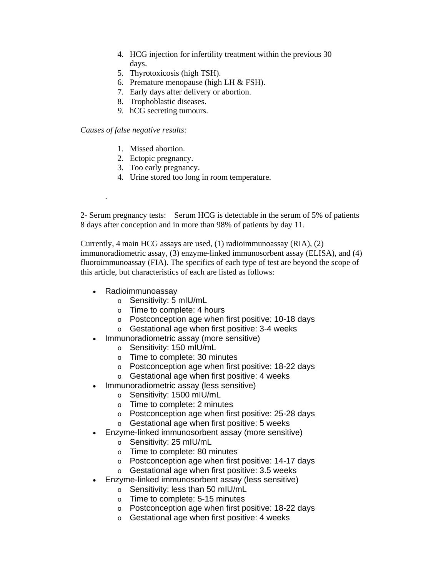- 4. HCG injection for infertility treatment within the previous 30 days.
- 5. Thyrotoxicosis (high TSH).
- 6. Premature menopause (high LH  $&$  FSH).
- 7. Early days after delivery or abortion.
- 8. Trophoblastic diseases.
- *9.* hCG secreting tumours.

#### *Causes of false negative results:*

.

- 1. Missed abortion.
- 2. Ectopic pregnancy.
- 3. Too early pregnancy.
- 4. Urine stored too long in room temperature.

2- Serum pregnancy tests: Serum HCG is detectable in the serum of 5% of patients 8 days after conception and in more than 98% of patients by day 11.

Currently, 4 main HCG assays are used, (1) radioimmunoassay (RIA), (2) immunoradiometric assay, (3) enzyme-linked immunosorbent assay (ELISA), and (4) fluoroimmunoassay (FIA). The specifics of each type of test are beyond the scope of this article, but characteristics of each are listed as follows:

- Radioimmunoassay
	- o Sensitivity: 5 mIU/mL
	- o Time to complete: 4 hours
	- o Postconception age when first positive: 10-18 days
	- o Gestational age when first positive: 3-4 weeks
- Immunoradiometric assay (more sensitive)
	- o Sensitivity: 150 mIU/mL
	- o Time to complete: 30 minutes
	- o Postconception age when first positive: 18-22 days
	- o Gestational age when first positive: 4 weeks
- Immunoradiometric assay (less sensitive)
	- o Sensitivity: 1500 mIU/mL
	- o Time to complete: 2 minutes
	- o Postconception age when first positive: 25-28 days
	- o Gestational age when first positive: 5 weeks
- Enzyme-linked immunosorbent assay (more sensitive)
	- o Sensitivity: 25 mIU/mL
	- o Time to complete: 80 minutes
	- o Postconception age when first positive: 14-17 days
	- o Gestational age when first positive: 3.5 weeks
- Enzyme-linked immunosorbent assay (less sensitive)
	- o Sensitivity: less than 50 mIU/mL
	- o Time to complete: 5-15 minutes
	- o Postconception age when first positive: 18-22 days
	- o Gestational age when first positive: 4 weeks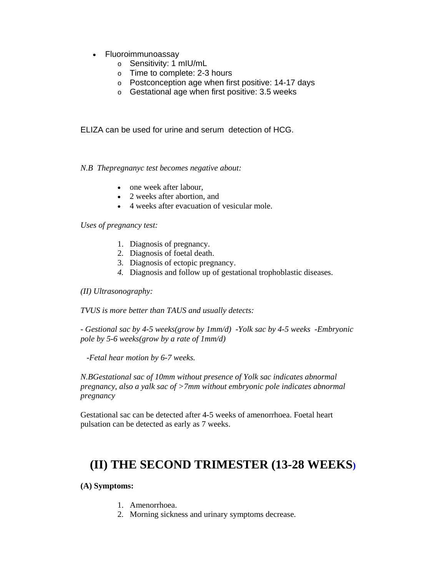- Fluoroimmunoassay
	- o Sensitivity: 1 mIU/mL
	- o Time to complete: 2-3 hours
	- o Postconception age when first positive: 14-17 days
	- o Gestational age when first positive: 3.5 weeks

ELIZA can be used for urine and serum detection of HCG.

*N.B Thepregnanyc test becomes negative about:* 

- one week after labour.
- 2 weeks after abortion, and
- 4 weeks after evacuation of vesicular mole.

*Uses of pregnancy test:* 

- 1. Diagnosis of pregnancy.
- 2. Diagnosis of foetal death.
- 3. Diagnosis of ectopic pregnancy.
- *4.* Diagnosis and follow up of gestational trophoblastic diseases.

*(II) Ultrasonography:* 

*TVUS is more better than TAUS and usually detects:* 

*- Gestional sac by 4-5 weeks(grow by 1mm/d) -Yolk sac by 4-5 weeks -Embryonic pole by 5-6 weeks(grow by a rate of 1mm/d)* 

 *-Fetal hear motion by 6-7 weeks.* 

*N.BGestational sac of 10mm without presence of Yolk sac indicates abnormal pregnancy, also a yalk sac of >7mm without embryonic pole indicates abnormal pregnancy* 

Gestational sac can be detected after 4-5 weeks of amenorrhoea. Foetal heart pulsation can be detected as early as 7 weeks.

## **(II) THE SECOND TRIMESTER (13-28 WEEKS)**

**(A) Symptoms:** 

- 1. Amenorrhoea.
- 2. Morning sickness and urinary symptoms decrease.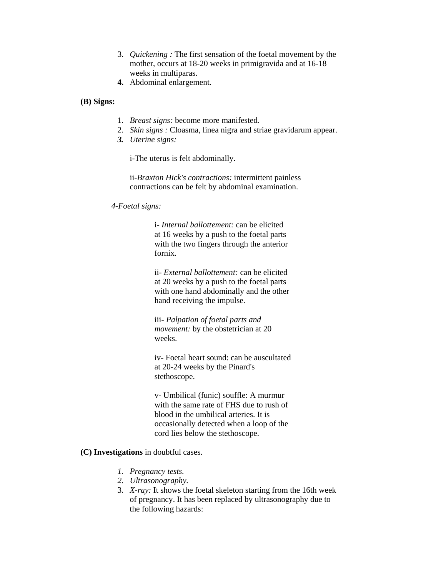- 3. *Quickening :* The first sensation of the foetal movement by the mother, occurs at 18-20 weeks in primigravida and at 16-18 weeks in multiparas.
- **4.** Abdominal enlargement.
- **(B) Signs:**
- 1. *Breast signs:* become more manifested.
- 2. *Skin signs :* Cloasma, linea nigra and striae gravidarum appear.
- *3. Uterine signs:*

i-The uterus is felt abdominally.

ii-*Braxton Hick's contractions:* intermittent painless contractions can be felt by abdominal examination.

#### *4-Foetal signs:*

i- *Internal ballottement:* can be elicited at 16 weeks by a push to the foetal parts with the two fingers through the anterior fornix.

ii*- External ballottement:* can be elicited at 20 weeks by a push to the foetal parts with one hand abdominally and the other hand receiving the impulse.

iii- *Palpation of foetal parts and movement:* by the obstetrician at 20 weeks.

iv- Foetal heart sound: can be auscultated at 20-24 weeks by the Pinard's stethoscope.

v- Umbilical (funic) souffle: A murmur with the same rate of FHS due to rush of blood in the umbilical arteries. It is occasionally detected when a loop of the cord lies below the stethoscope.

#### **(C) Investigations** in doubtful cases.

- *1. Pregnancy tests.*
- *2. Ultrasonography.*
- 3. *X-ray:* It shows the foetal skeleton starting from the 16th week of pregnancy. It has been replaced by ultrasonography due to the following hazards: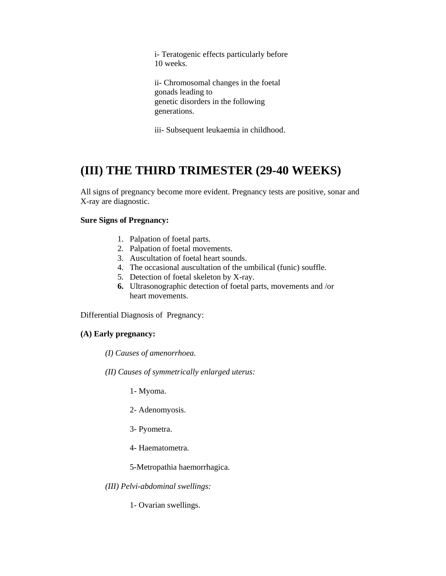i- Teratogenic effects particularly before 10 weeks.

ii- Chromosomal changes in the foetal gonads leading to genetic disorders in the following generations.

iii- Subsequent leukaemia in childhood.

## **(III) THE THIRD TRIMESTER (29-40 WEEKS)**

All signs of pregnancy become more evident. Pregnancy tests are positive, sonar and X-ray are diagnostic.

### **Sure Signs of Pregnancy:**

- 1. Palpation of foetal parts.
- 2. Palpation of foetal movements.
- 3. Auscultation of foetal heart sounds.
- 4. The occasional auscultation of the umbilical (funic) souffle.
- 5. Detection of foetal skeleton by X-ray.
- **6.** Ultrasonographic detection of foetal parts, movements and /or heart movements.

Differential Diagnosis of Pregnancy:

## **(A) Early pregnancy:**

*(I) Causes of amenorrhoea.* 

*(II) Causes of symmetrically enlarged uterus:* 

- 1- Myoma.
- 2- Adenomyosis.
- 3- Pyometra.
- 4- Haematometra.
- 5-Metropathia haemorrhagica.
- *(III) Pelvi-abdominal swellings:*

1- Ovarian swellings.